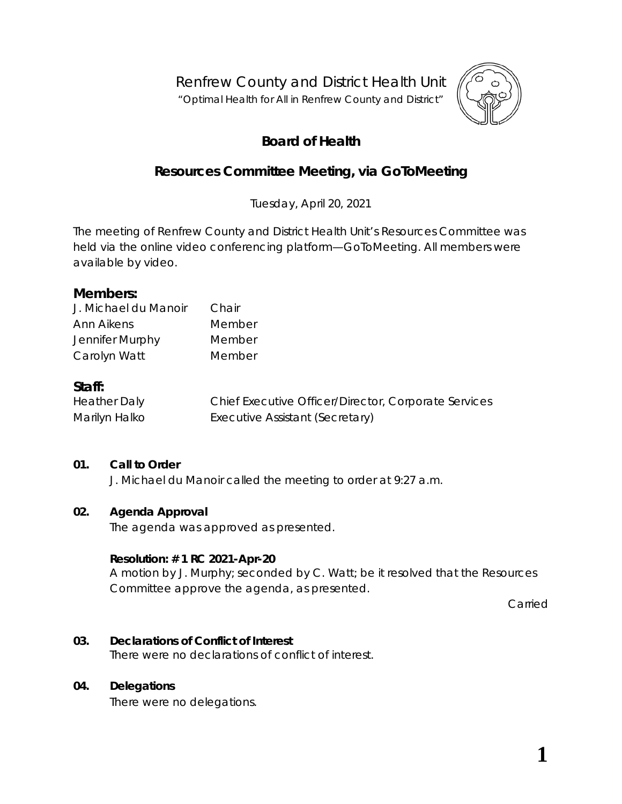Renfrew County and District Health Unit

"*Optimal Health for All in Renfrew County and District"*



# **Board of Health**

# **Resources Committee Meeting, via** *GoToMeeting*

Tuesday, April 20, 2021

The meeting of Renfrew County and District Health Unit's Resources Committee was held via the online video conferencing platform—*GoToMeeting*. All members were available by video.

# **Members:**

| J. Michael du Manoir | Chair  |
|----------------------|--------|
| Ann Aikens           | Member |
| Jennifer Murphy      | Member |
| Carolyn Watt         | Member |

# **Staff:**

| <b>Heather Daly</b> | Chief Executive Officer/Director, Corporate Services |
|---------------------|------------------------------------------------------|
| Marilyn Halko       | Executive Assistant (Secretary)                      |

# **01. Call to Order**

J. Michael du Manoir called the meeting to order at 9:27 a.m.

## **02. Agenda Approval**

The agenda was approved as presented.

## **Resolution: # 1 RC 2021-Apr-20**

A motion by J. Murphy; seconded by C. Watt; be it resolved that the Resources Committee approve the agenda, as presented.

Carried

## **03. Declarations of Conflict of Interest**

There were no declarations of conflict of interest.

## **04. Delegations**

There were no delegations.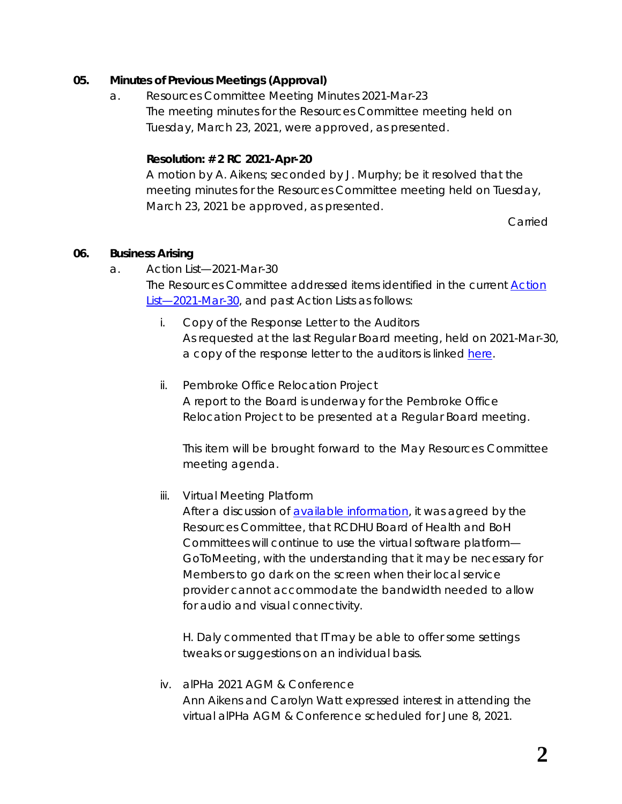# **05. Minutes of Previous Meetings (Approval)**

a. Resources Committee Meeting Minutes 2021-Mar-23 The meeting minutes for the Resources Committee meeting held on Tuesday, March 23, 2021, were approved, as presented.

# **Resolution: # 2 RC 2021-Apr-20**

A motion by A. Aikens; seconded by J. Murphy; be it resolved that the meeting minutes for the Resources Committee meeting held on Tuesday, March 23, 2021 be approved, as presented.

Carried

# **06. Business Arising**

- a. Action List—2021-Mar-30 The Resources Committee addressed items identified in the current [Action](https://www.rcdhu.com/wp-content/uploads/2021/06/06.-a.-Action-List-Regular-Board-Meeting-2021-Mar-30-DRAFT.pdf)  [List—2021-Mar-30,](https://www.rcdhu.com/wp-content/uploads/2021/06/06.-a.-Action-List-Regular-Board-Meeting-2021-Mar-30-DRAFT.pdf) and past Action Lists as follows:
	- i. Copy of the Response Letter to the Auditors As requested at the last Regular Board meeting, held on 2021-Mar-30, a copy of the response letter to the auditors is linked [here.](https://www.rcdhu.com/wp-content/uploads/2021/06/06.-a.-Copy-of-the-Response-Letter-to-the-Auditors-1.pdf)
	- ii. Pembroke Office Relocation Project A report to the Board is underway for the Pembroke Office Relocation Project to be presented at a Regular Board meeting.

This item will be brought forward to the May Resources Committee meeting agenda.

# iii. Virtual Meeting Platform

After a discussion of [available information,](https://www.rcdhu.com/wp-content/uploads/2021/06/11.-a.-Electronic-Meeting-Guide-Information-Technology.pdf) it was agreed by the Resources Committee, that RCDHU Board of Health and BoH Committees will continue to use the virtual software platform— *GoToMeeting*, with the understanding that it may be necessary for Members to go dark on the screen when their local service provider cannot accommodate the bandwidth needed to allow for audio and visual connectivity.

H. Daly commented that IT may be able to offer some settings tweaks or suggestions on an individual basis.

iv. alPHa 2021 AGM & Conference Ann Aikens and Carolyn Watt expressed interest in attending the virtual alPHa AGM & Conference scheduled for June 8, 2021.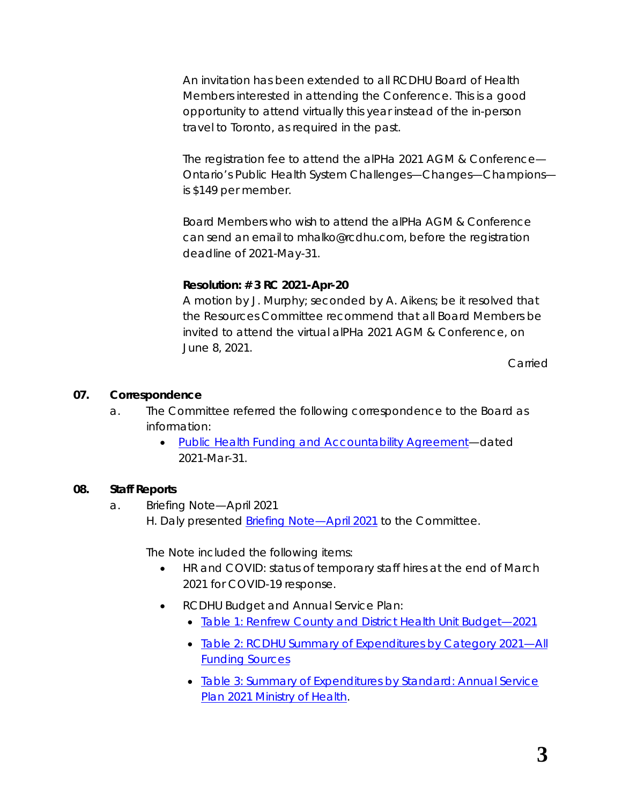An invitation has been extended to all RCDHU Board of Health Members interested in attending the Conference. This is a good opportunity to attend virtually this year instead of the in-person travel to Toronto, as required in the past.

The registration fee to attend the alPHa 2021 AGM & Conference— *Ontario's Public Health System Challenges—Changes—Champions* is \$149 per member.

Board Members who wish to attend the alPHa AGM & Conference can send an email to mhalko@rcdhu.com, before the registration deadline of 2021-May-31.

## **Resolution: # 3 RC 2021-Apr-20**

A motion by J. Murphy; seconded by A. Aikens; be it resolved that the Resources Committee recommend that all Board Members be invited to attend the virtual alPHa 2021 AGM & Conference, on June 8, 2021.

Carried

#### **07. Correspondence**

- a. The Committee referred the following correspondence to the Board as information:
	- [Public Health Funding and Accountability Agreement—](https://www.rcdhu.com/wp-content/uploads/2021/06/07.-a.-Public-Health-Funding-and-Accountability-Agreement.pdf)dated 2021-Mar-31.

#### **08. Staff Reports**

a. Briefing Note—April 2021

H. Daly presented [Briefing Note—April 2021](https://www.rcdhu.com/wp-content/uploads/2021/06/08.-a.-Briefing-Note-April-2021.pdf) to the Committee.

The *Note* included the following items:

- HR and COVID: status of temporary staff hires at the end of March 2021 for COVID-19 response.
- RCDHU Budget and Annual Service Plan:
	- [Table 1: Renfrew County and District Health Unit Budget—2021](https://www.rcdhu.com/wp-content/uploads/2021/06/Table-1.pdf)
	- Table 2: RCDHU Summary of Expenditures by Category 2021-All [Funding Sources](https://www.rcdhu.com/wp-content/uploads/2021/06/Table-2.pdf)
	- Table 3: Summary of Expenditures by Standard: Annual Service [Plan 2021 Ministry of Health.](https://www.rcdhu.com/wp-content/uploads/2021/06/Table-3.pdf)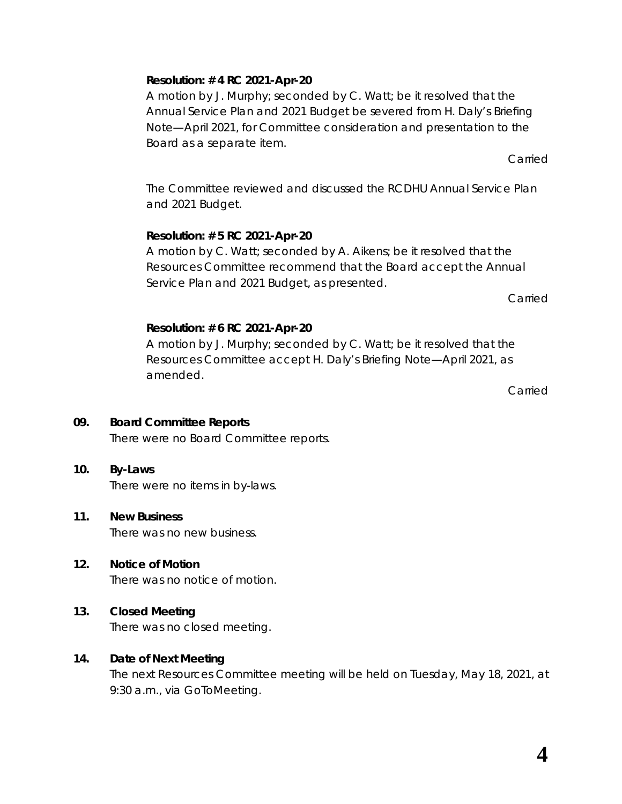# **Resolution: # 4 RC 2021-Apr-20**

A motion by J. Murphy; seconded by C. Watt; be it resolved that the Annual Service Plan and 2021 Budget be severed from H. Daly's Briefing Note—April 2021, for Committee consideration and presentation to the Board as a separate item.

Carried

The Committee reviewed and discussed the RCDHU Annual Service Plan and 2021 Budget.

# **Resolution: # 5 RC 2021-Apr-20**

A motion by C. Watt; seconded by A. Aikens; be it resolved that the Resources Committee recommend that the Board accept the Annual Service Plan and 2021 Budget, as presented.

Carried

# **Resolution: # 6 RC 2021-Apr-20**

A motion by J. Murphy; seconded by C. Watt; be it resolved that the Resources Committee accept H. Daly's Briefing Note—April 2021, as amended.

Carried

# **09. Board Committee Reports**

There were no Board Committee reports.

# **10. By-Laws**

There were no items in by-laws.

# **11. New Business**

There was no new business.

# **12. Notice of Motion** There was no notice of motion.

# **13. Closed Meeting**

There was no closed meeting.

# **14. Date of Next Meeting**

The next Resources Committee meeting will be held on Tuesday, May 18, 2021, at 9:30 a.m., via *GoToMeeting*.